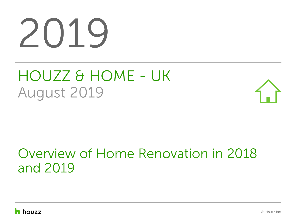# 2019

# HOUZZ & HOME - UK August 2019



## Overview of Home Renovation in 2018 and 2019

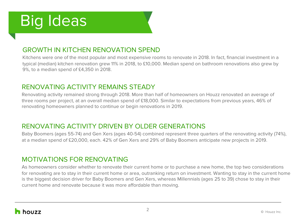# Big Ideas

### GROWTH IN KITCHEN RENOVATION SPEND

Kitchens were one of the most popular and most expensive rooms to renovate in 2018. In fact, financial investment in a typical (median) kitchen renovation grew 11% in 2018, to £10,000. Median spend on bathroom renovations also grew by 9%, to a median spend of £4,350 in 2018.

### RENOVATING ACTIVITY REMAINS STEADY

Renovating activity remained strong through 2018. More than half of homeowners on Houzz renovated an average of three rooms per project, at an overall median spend of £18,000. Similar to expectations from previous years, 46% of renovating homeowners planned to continue or begin renovations in 2019.

### RENOVATING ACTIVITY DRIVEN BY OLDER GENERATIONS

Baby Boomers (ages 55-74) and Gen Xers (ages 40-54) combined represent three quarters of the renovating activity (74%), at a median spend of £20,000, each. 42% of Gen Xers and 29% of Baby Boomers anticipate new projects in 2019.

### MOTIVATIONS FOR RENOVATING

As homeowners consider whether to renovate their current home or to purchase a new home, the top two considerations for renovating are to stay in their current home or area, outranking return on investment. Wanting to stay in the current home is the biggest decision driver for Baby Boomers and Gen Xers, whereas Millennials (ages 25 to 39) chose to stay in their current home and renovate because it was more affordable than moving.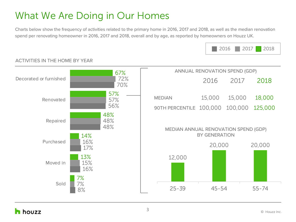### What We Are Doing in Our Homes

Charts below show the frequency of activities related to the primary home in 2016, 2017 and 2018, as well as the median renovation spend per renovating homeowner in 2016, 2017 and 2018, overall and by age, as reported by homeowners on Houzz UK.





#### ACTIVITIES IN THE HOME BY YEAR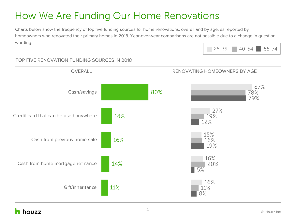### How We Are Funding Our Home Renovations

Charts below show the frequency of top five funding sources for home renovations, overall and by age, as reported by homeowners who renovated their primary homes in 2018. Year-over-year comparisons are not possible due to a change in question wording.



#### OVERALL OVERALL RENOVATING HOMEOWNERS BY AGE 87% 27% 15% 16% 16% 78% 19% 16% 20% 11% 79% 12% 19% 5% 8% 80% 18% 16% 14% 11% Cash/savings Credit card that can be used anywhere Cash from previous home sale Cash from home mortgage refinance Gift/inheritance

### TOP FIVE RENOVATION FUNDING SOURCES IN 2018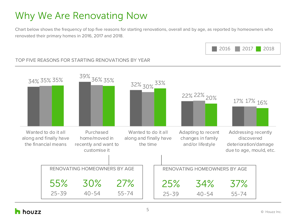### Why We Are Renovating Now

Chart below shows the frequency of top five reasons for starting renovations, overall and by age, as reported by homeowners who renovated their primary homes in 2016, 2017 and 2018.



#### TOP FIVE REASONS FOR STARTING RENOVATIONS BY YEAR

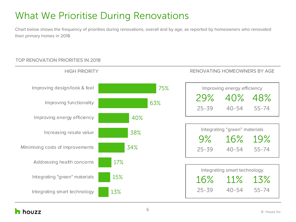### What We Prioritise During Renovations

Chart below shows the frequency of priorities during renovations, overall and by age, as reported by homeowners who renovated their primary homes in 2018.

### TOP RENOVATION PRIORITIES IN 2018

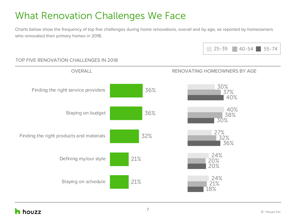### What Renovation Challenges We Face

Charts below show the frequency of top five challenges during home renovations, overall and by age, as reported by homeowners who renovated their primary homes in 2018.

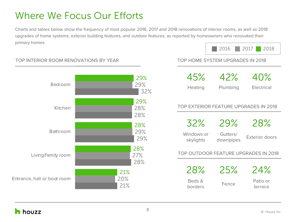### Where We Focus Our Efforts

Charts and tables below show the frequency of most popular 2016, 2017 and 2018 renovations of interior rooms, as well as 2018 upgrades of home systems, exterior building features, and outdoor features, as reported by homeowners who renovated their primary homes.





#### TOP INTERIOR ROOM RENOVATIONS BY YEAR TOP HOME SYSTEM UPGRADES IN 2018

| 45%            | 42%      | 40%        |
|----------------|----------|------------|
| <b>Heating</b> | Plumbing | Electrical |

#### TOP EXTERIOR FEATURE UPGRADES IN 2018

| 32%                                  | 29%                   | 28%                   |  |  |  |  |
|--------------------------------------|-----------------------|-----------------------|--|--|--|--|
| Windows or<br>skylights              | Gutters/<br>downpipes | <b>Exterior doors</b> |  |  |  |  |
| TOP OUTDOOR FEATURE UPGRADES IN 2018 |                       |                       |  |  |  |  |
| 28%                                  | 25%                   | 24%                   |  |  |  |  |
| Beds &<br>borders                    | Fence                 | Patio or<br>terrace   |  |  |  |  |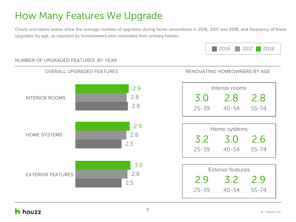### How Many Features We Upgrade

Charts and tables below show the average number of upgrades during home renovations in 2016, 2017 and 2018, and frequency of these upgrades by age, as reported by homeowners who renovated their primary homes.



#### RENOVATING HOMEOWNERS BY AGE Interior rooms 3.0 2.8 2.8 25-39 40-54 55-74 Home systems 3.2 3.0 2.6 25-39 40-54 55-74 Exterior features 2.9 3.2 2.9 25-39 40-54 55-74 OVERALL UPGRADED FEATURES 2.9 2.8 2.8 2.9 2.8 2.5 3.0 2.8 2.5 INTERIOR ROOMS HOME SYSTEMS EXTERIOR FEATURES

#### NUMBER OF UPGRADED FEATURES BY YEAR

### h houzz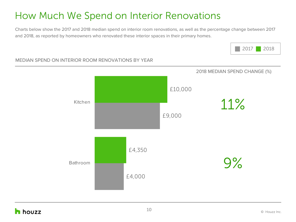### How Much We Spend on Interior Renovations

Charts below show the 2017 and 2018 median spend on interior room renovations, as well as the percentage change between 2017 and 2018, as reported by homeowners who renovated these interior spaces in their primary homes.



#### MEDIAN SPEND ON INTERIOR ROOM RENOVATIONS BY YEAR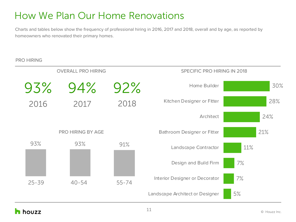### How We Plan Our Home Renovations

Charts and tables below show the frequency of professional hiring in 2016, 2017 and 2018, overall and by age, as reported by homeowners who renovated their primary homes.

#### PRO HIRING

| <b>OVERALL PRO HIRING</b> |                   | SPECIFIC PRO HIRING IN 2018     |                                |     |
|---------------------------|-------------------|---------------------------------|--------------------------------|-----|
| 93%                       | 94%               | 92%                             | Home Builder                   | 30% |
| 2016                      | 2017              | 2018                            | Kitchen Designer or Fitter     | 28% |
|                           |                   |                                 | Architect                      | 24% |
|                           | PRO HIRING BY AGE |                                 | Bathroom Designer or Fitter    | 21% |
| 93%                       | 93%<br>91%        |                                 | Landscape Contractor           | 11% |
|                           |                   |                                 | Design and Build Firm          | 7%  |
| $25 - 39$                 | $40 - 54$         | $55 - 74$                       | Interior Designer or Decorator | 7%  |
|                           |                   | Landscape Architect or Designer | 5%                             |     |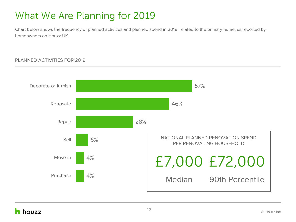### What We Are Planning for 2019

Chart below shows the frequency of planned activities and planned spend in 2019, related to the primary home, as reported by homeowners on Houzz UK.

#### PLANNED ACTIVITIES FOR 2019

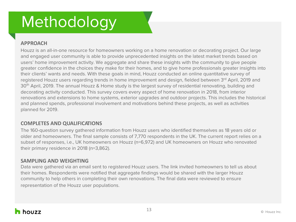# Methodology

#### **APPROACH**

Houzz is an all-in-one resource for homeowners working on a home renovation or decorating project. Our large and engaged user community is able to provide unprecedented insights on the latest market trends based on users' home improvement activity. We aggregate and share these insights with the community to give people greater confidence in the choices they make for their homes, and to give home professionals greater insights into their clients' wants and needs. With these goals in mind, Houzz conducted an online quantitative survey of registered Houzz users regarding trends in home improvement and design, fielded between 3rd April, 2019 and 30<sup>th</sup> April, 2019. The annual Houzz & Home study is the largest survey of residential renovating, building and decorating activity conducted. This survey covers every aspect of home renovation in 2018, from interior renovations and extensions to home systems, exterior upgrades and outdoor projects. This includes the historical and planned spends, professional involvement and motivations behind these projects, as well as activities planned for 2019.

#### **COMPLETES AND QUALIFICATIONS**

The 160-question survey gathered information from Houzz users who identified themselves as 18 years old or older and homeowners. The final sample consists of 7,770 respondents in the UK. The current report relies on a subset of responses, i.e., UK homeowners on Houzz (n=6,972) and UK homeowners on Houzz who renovated their primary residence in 2018 (n=3,862).

#### **SAMPLING AND WEIGHTING**

Data were gathered via an email sent to registered Houzz users. The link invited homeowners to tell us about their homes. Respondents were notified that aggregate findings would be shared with the larger Houzz community to help others in completing their own renovations. The final data were reviewed to ensure representation of the Houzz user populations.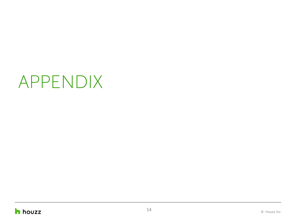# APPENDIX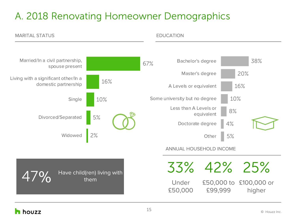### A. 2018 Renovating Homeowner Demographics

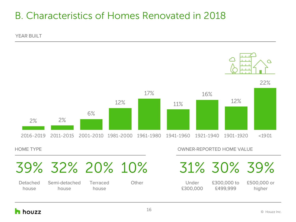### B. Characteristics of Homes Renovated in 2018

YEAR BUILT





Detached house

Semi-detached house

Terraced house

HOME TYPE THE STATE OWNER-REPORTED HOME VALUE

Other Under £300,000 £300,000 to £499,999 £500,000 or higher